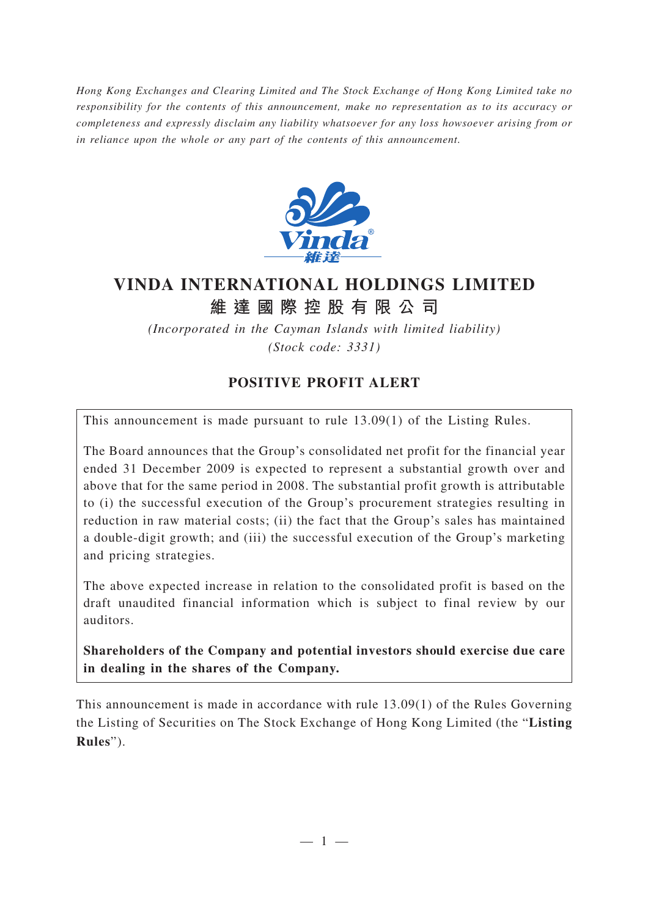*Hong Kong Exchanges and Clearing Limited and The Stock Exchange of Hong Kong Limited take no responsibility for the contents of this announcement, make no representation as to its accuracy or completeness and expressly disclaim any liability whatsoever for any loss howsoever arising from or in reliance upon the whole or any part of the contents of this announcement.*



## **VINDA INTERNATIONAL HOLDINGS LIMITED 維達國際控股有限公司**

*(Incorporated in the Cayman Islands with limited liability) (Stock code: 3331)*

## **POSITIVE PROFIT ALERT**

This announcement is made pursuant to rule 13.09(1) of the Listing Rules.

The Board announces that the Group's consolidated net profit for the financial year ended 31 December 2009 is expected to represent a substantial growth over and above that for the same period in 2008. The substantial profit growth is attributable to (i) the successful execution of the Group's procurement strategies resulting in reduction in raw material costs; (ii) the fact that the Group's sales has maintained a double-digit growth; and (iii) the successful execution of the Group's marketing and pricing strategies.

The above expected increase in relation to the consolidated profit is based on the draft unaudited financial information which is subject to final review by our auditors.

**Shareholders of the Company and potential investors should exercise due care in dealing in the shares of the Company.**

This announcement is made in accordance with rule 13.09(1) of the Rules Governing the Listing of Securities on The Stock Exchange of Hong Kong Limited (the "**Listing Rules**").